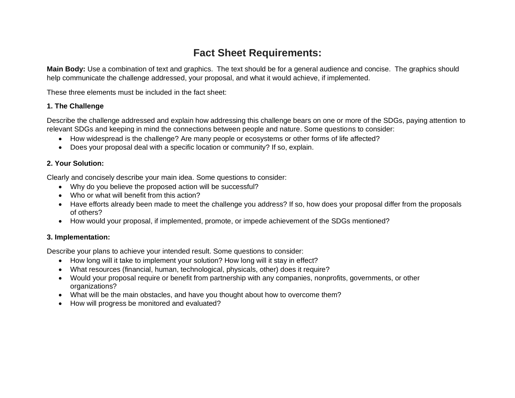# **Fact Sheet Requirements:**

**Main Body:** Use a combination of text and graphics. The text should be for a general audience and concise. The graphics should help communicate the challenge addressed, your proposal, and what it would achieve, if implemented.

These three elements must be included in the fact sheet:

#### **1. The Challenge**

Describe the challenge addressed and explain how addressing this challenge bears on one or more of the SDGs, paying attention to relevant SDGs and keeping in mind the connections between people and nature. Some questions to consider:

- How widespread is the challenge? Are many people or ecosystems or other forms of life affected?
- Does your proposal deal with a specific location or community? If so, explain.

### **2. Your Solution:**

Clearly and concisely describe your main idea. Some questions to consider:

- Why do you believe the proposed action will be successful?
- Who or what will benefit from this action?
- Have efforts already been made to meet the challenge you address? If so, how does your proposal differ from the proposals of others?
- How would your proposal, if implemented, promote, or impede achievement of the SDGs mentioned?

### **3. Implementation:**

Describe your plans to achieve your intended result. Some questions to consider:

- How long will it take to implement your solution? How long will it stay in effect?
- What resources (financial, human, technological, physicals, other) does it require?
- Would your proposal require or benefit from partnership with any companies, nonprofits, governments, or other organizations?
- What will be the main obstacles, and have you thought about how to overcome them?
- How will progress be monitored and evaluated?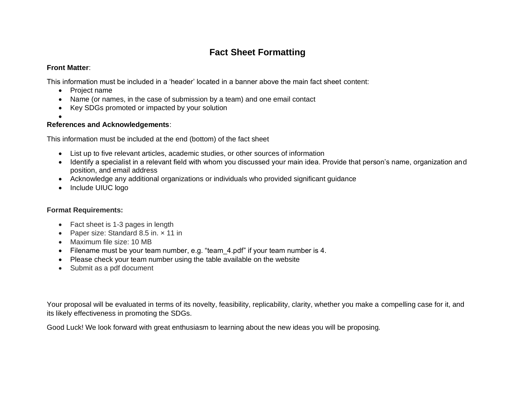## **Fact Sheet Formatting**

### **Front Matter**:

This information must be included in a 'header' located in a banner above the main fact sheet content:

- Project name
- Name (or names, in the case of submission by a team) and one email contact
- Key SDGs promoted or impacted by your solution
- •

### **References and Acknowledgements**:

This information must be included at the end (bottom) of the fact sheet

- List up to five relevant articles, academic studies, or other sources of information
- Identify a specialist in a relevant field with whom you discussed your main idea. Provide that person's name, organization and position, and email address
- Acknowledge any additional organizations or individuals who provided significant guidance
- Include UIUC logo

### **Format Requirements:**

- Fact sheet is 1-3 pages in length
- Paper size: Standard 8.5 in. x 11 in
- Maximum file size: 10 MB
- Filename must be your team number, e.g. "team 4.pdf" if your team number is 4.
- Please check your team number using the table available on the website
- Submit as a pdf document

Your proposal will be evaluated in terms of its novelty, feasibility, replicability, clarity, whether you make a compelling case for it, and its likely effectiveness in promoting the SDGs.

Good Luck! We look forward with great enthusiasm to learning about the new ideas you will be proposing.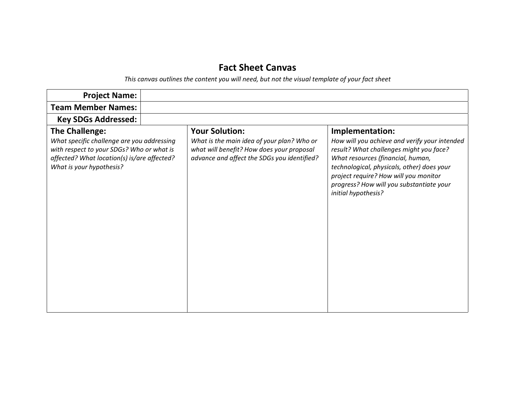# **Fact Sheet Canvas**

*This canvas outlines the content you will need, but not the visual template of your fact sheet*

| <b>Project Name:</b>                                                                                                                                               |  |                                                                                                                                        |                                                                                                                                                                                                                                                                                         |
|--------------------------------------------------------------------------------------------------------------------------------------------------------------------|--|----------------------------------------------------------------------------------------------------------------------------------------|-----------------------------------------------------------------------------------------------------------------------------------------------------------------------------------------------------------------------------------------------------------------------------------------|
| <b>Team Member Names:</b>                                                                                                                                          |  |                                                                                                                                        |                                                                                                                                                                                                                                                                                         |
| <b>Key SDGs Addressed:</b>                                                                                                                                         |  |                                                                                                                                        |                                                                                                                                                                                                                                                                                         |
| <b>The Challenge:</b>                                                                                                                                              |  | <b>Your Solution:</b>                                                                                                                  | Implementation:                                                                                                                                                                                                                                                                         |
| What specific challenge are you addressing<br>with respect to your SDGs? Who or what is<br>affected? What location(s) is/are affected?<br>What is your hypothesis? |  | What is the main idea of your plan? Who or<br>what will benefit? How does your proposal<br>advance and affect the SDGs you identified? | How will you achieve and verify your intended<br>result? What challenges might you face?<br>What resources (financial, human,<br>technological, physicals, other) does your<br>project require? How will you monitor<br>progress? How will you substantiate your<br>initial hypothesis? |